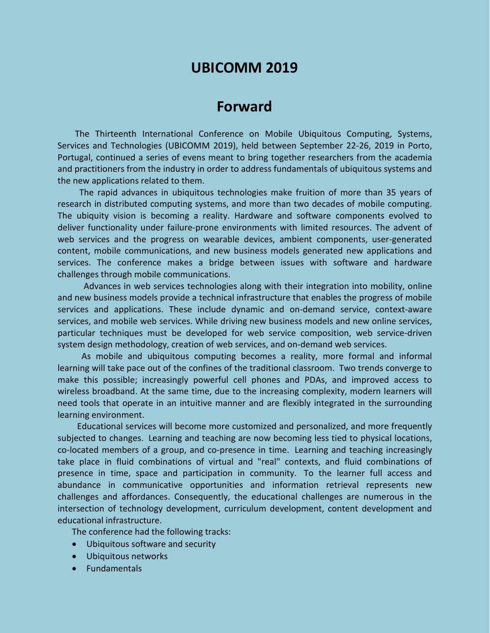# **UBICOMM 2019**

## **Forward**

The Thirteenth International Conference on Mobile Ubiquitous Computing, Systems, Services and Technologies (UBICOMM 2019), held between September 22-26, 2019 in Porto, Portugal, continued a series of evens meant to bring together researchers from the academia and practitioners from the industry in order to address fundamentals of ubiquitous systems and the new applications related to them.

The rapid advances in ubiquitous technologies make fruition of more than 35 years of research in distributed computing systems, and more than two decades of mobile computing. The ubiquity vision is becoming a reality. Hardware and software components evolved to deliver functionality under failure-prone environments with limited resources. The advent of web services and the progress on wearable devices, ambient components, user-generated content, mobile communications, and new business models generated new applications and services. The conference makes a bridge between issues with software and hardware challenges through mobile communications.

Advances in web services technologies along with their integration into mobility, online and new business models provide a technical infrastructure that enables the progress of mobile services and applications. These include dynamic and on-demand service, context-aware services, and mobile web services. While driving new business models and new online services, particular techniques must be developed for web service composition, web service-driven system design methodology, creation of web services, and on-demand web services.

As mobile and ubiquitous computing becomes a reality, more formal and informal learning will take pace out of the confines of the traditional classroom. Two trends converge to make this possible; increasingly powerful cell phones and PDAs, and improved access to wireless broadband. At the same time, due to the increasing complexity, modern learners will need tools that operate in an intuitive manner and are flexibly integrated in the surrounding learning environment.

Educational services will become more customized and personalized, and more frequently subjected to changes. Learning and teaching are now becoming less tied to physical locations, co-located members of a group, and co-presence in time. Learning and teaching increasingly take place in fluid combinations of virtual and "real" contexts, and fluid combinations of presence in time, space and participation in community. To the learner full access and abundance in communicative opportunities and information retrieval represents new challenges and affordances. Consequently, the educational challenges are numerous in the intersection of technology development, curriculum development, content development and educational infrastructure.

The conference had the following tracks:

- Ubiquitous software and security
- Ubiquitous networks
- Fundamentals